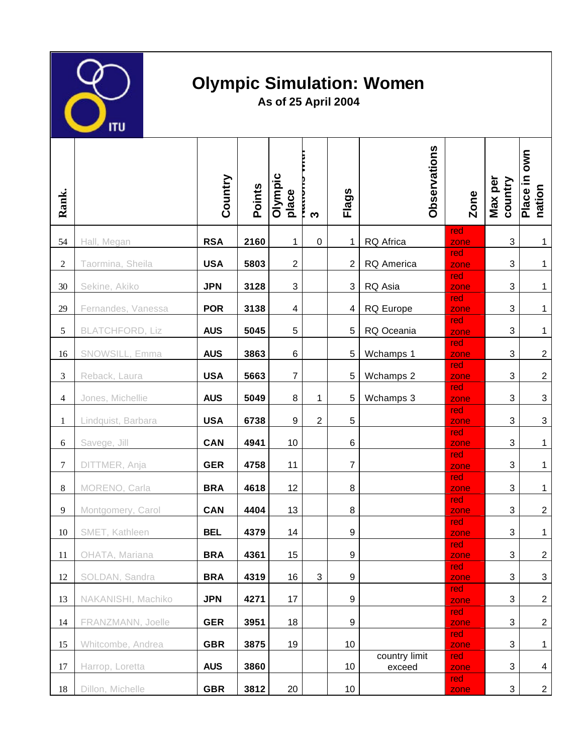

## **Olympic Simulation: Women**

**As of 25 April 2004**

| Rank.            |                        | Country    | Points | Olympic<br>place | ო              | <b>Flags</b>     | <b>Observations</b>     | <b>Zone</b> | Max per<br>country        | own<br>Place in<br>nation |
|------------------|------------------------|------------|--------|------------------|----------------|------------------|-------------------------|-------------|---------------------------|---------------------------|
| 54               | Hall, Megan            | <b>RSA</b> | 2160   | $\mathbf{1}$     | 0              | 1                | RQ Africa               | red<br>zone | $\sqrt{3}$                | $\mathbf{1}$              |
| $\sqrt{2}$       | Taormina, Sheila       | <b>USA</b> | 5803   | $\overline{c}$   |                | $\overline{2}$   | RQ America              | red<br>zone | $\mathsf 3$               | 1                         |
| $30\,$           | Sekine, Akiko          | <b>JPN</b> | 3128   | $\mathsf 3$      |                | 3                | RQ Asia                 | red<br>zone | 3                         | 1                         |
| 29               | Fernandes, Vanessa     | <b>POR</b> | 3138   | 4                |                | 4                | RQ Europe               | red<br>zone | $\sqrt{3}$                | $\mathbf 1$               |
| 5                | <b>BLATCHFORD, Liz</b> | <b>AUS</b> | 5045   | 5                |                | 5                | RQ Oceania              | red<br>zone | $\sqrt{3}$                | $\mathbf{1}$              |
| 16               | SNOWSILL, Emma         | <b>AUS</b> | 3863   | 6                |                | 5                | Wchamps 1               | red<br>zone | $\mathbf{3}$              | $\overline{c}$            |
| $\mathfrak{Z}$   | Reback, Laura          | <b>USA</b> | 5663   | $\boldsymbol{7}$ |                | 5                | Wchamps 2               | red<br>zone | $\ensuremath{\mathsf{3}}$ | $\overline{2}$            |
| $\overline{4}$   | Jones, Michellie       | <b>AUS</b> | 5049   | 8                | 1              | 5                | Wchamps 3               | red<br>zone | 3                         | $\ensuremath{\mathsf{3}}$ |
| 1                | Lindquist, Barbara     | <b>USA</b> | 6738   | $9\,$            | $\overline{2}$ | 5                |                         | red<br>zone | 3                         | $\ensuremath{\mathsf{3}}$ |
| 6                | Savege, Jill           | <b>CAN</b> | 4941   | 10               |                | 6                |                         | red<br>zone | $\sqrt{3}$                | $\mathbf{1}$              |
| $\boldsymbol{7}$ | DITTMER, Anja          | <b>GER</b> | 4758   | 11               |                | $\overline{7}$   |                         | red<br>zone | $\mathbf{3}$              | $\mathbf{1}$              |
| $\,8\,$          | MORENO, Carla          | <b>BRA</b> | 4618   | 12               |                | 8                |                         | red<br>zone | $\sqrt{3}$                | $\mathbf{1}$              |
| $\overline{9}$   | Montgomery, Carol      | <b>CAN</b> | 4404   | 13               |                | 8                |                         | red<br>zone | $\sqrt{3}$                | $\sqrt{2}$                |
| 10               | SMET, Kathleen         | <b>BEL</b> | 4379   | 14               |                | 9                |                         | red<br>zone | $\ensuremath{\mathsf{3}}$ | $\mathbf{1}$              |
| 11               | OHATA, Mariana         | <b>BRA</b> | 4361   | 15               |                | $\boldsymbol{9}$ |                         | red<br>zone | 3                         | $\overline{2}$            |
| 12               | SOLDAN, Sandra         | <b>BRA</b> | 4319   | 16               | 3              | 9                |                         | red<br>zone | 3                         | $\sqrt{3}$                |
| 13               | NAKANISHI, Machiko     | <b>JPN</b> | 4271   | 17               |                | 9                |                         | red<br>zone | $\sqrt{3}$                | $\boldsymbol{2}$          |
| 14               | FRANZMANN, Joelle      | <b>GER</b> | 3951   | 18               |                | 9                |                         | red<br>zone | $\sqrt{3}$                | $\overline{c}$            |
| 15               | Whitcombe, Andrea      | <b>GBR</b> | 3875   | 19               |                | 10               |                         | red<br>zone | $\ensuremath{\mathsf{3}}$ | 1                         |
| 17               | Harrop, Loretta        | <b>AUS</b> | 3860   |                  |                | 10               | country limit<br>exceed | red<br>zone | 3                         | 4                         |
| $18\,$           | Dillon, Michelle       | <b>GBR</b> | 3812   | 20               |                | 10               |                         | red<br>zone | 3                         | $\overline{a}$            |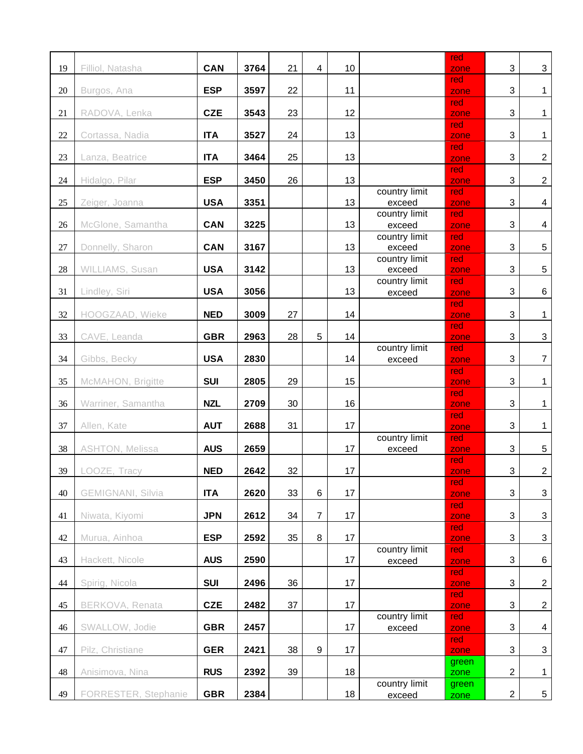| 19     | Filliol, Natasha         | <b>CAN</b> | 3764 | 21 | 4              | 10 |                         | red<br>zone   | $\mathbf{3}$              | $\sqrt{3}$                |
|--------|--------------------------|------------|------|----|----------------|----|-------------------------|---------------|---------------------------|---------------------------|
| $20\,$ | Burgos, Ana              | <b>ESP</b> | 3597 | 22 |                | 11 |                         | red<br>zone   | $\mathbf{3}$              | $\mathbf{1}$              |
| 21     | RADOVA, Lenka            | <b>CZE</b> | 3543 | 23 |                | 12 |                         | red<br>zone   | $\mathbf{3}$              | $\mathbf{1}$              |
| $22\,$ | Cortassa, Nadia          | <b>ITA</b> | 3527 | 24 |                | 13 |                         | red<br>zone   | $\mathbf{3}$              | $\mathbf{1}$              |
| 23     | Lanza, Beatrice          | <b>ITA</b> | 3464 | 25 |                | 13 |                         | red<br>zone   | $\mathbf{3}$              | $\overline{2}$            |
| $24\,$ | Hidalgo, Pilar           | <b>ESP</b> | 3450 | 26 |                | 13 |                         | red<br>zone   | $\mathbf{3}$              | $\overline{2}$            |
| 25     | Zeiger, Joanna           | <b>USA</b> | 3351 |    |                | 13 | country limit<br>exceed | red<br>zone   | $\mathbf{3}$              | $\overline{4}$            |
| 26     | McGlone, Samantha        | <b>CAN</b> | 3225 |    |                | 13 | country limit<br>exceed | red<br>zone   | $\mathbf{3}$              | 4                         |
|        |                          |            |      |    |                |    | country limit           | red           |                           |                           |
| $27\,$ | Donnelly, Sharon         | <b>CAN</b> | 3167 |    |                | 13 | exceed<br>country limit | zone<br>red   | $\sqrt{3}$                | $\,$ 5 $\,$               |
| $28\,$ | WILLIAMS, Susan          | <b>USA</b> | 3142 |    |                | 13 | exceed                  | zone          | 3                         | $\sqrt{5}$                |
| 31     | Lindley, Siri            | <b>USA</b> | 3056 |    |                | 13 | country limit<br>exceed | red<br>zone   | $\mathbf{3}$              | 6                         |
| 32     | HOOGZAAD, Wieke          | <b>NED</b> | 3009 | 27 |                | 14 |                         | red<br>zone   | 3                         | $\mathbf{1}$              |
| 33     | CAVE, Leanda             | <b>GBR</b> | 2963 | 28 | 5              | 14 |                         | red<br>zone   | $\mathbf{3}$              | $\ensuremath{\mathsf{3}}$ |
| 34     | Gibbs, Becky             | <b>USA</b> | 2830 |    |                | 14 | country limit<br>exceed | red<br>zone   | $\mathbf{3}$              | $\boldsymbol{7}$          |
| 35     | McMAHON, Brigitte        | <b>SUI</b> | 2805 | 29 |                | 15 |                         | red<br>zone   | $\sqrt{3}$                | $\mathbf{1}$              |
| 36     | Warriner, Samantha       | <b>NZL</b> | 2709 | 30 |                | 16 |                         | red<br>zone   | $\mathbf{3}$              | $\mathbf{1}$              |
| 37     | Allen, Kate              | <b>AUT</b> | 2688 | 31 |                | 17 |                         | red<br>zone   | $\mathbf{3}$              | $\mathbf{1}$              |
| 38     | ASHTON, Melissa          | <b>AUS</b> | 2659 |    |                | 17 | country limit<br>exceed | red<br>zone   | $\mathbf{3}$              | $\overline{5}$            |
| 39     | LOOZE, Tracy             | <b>NED</b> | 2642 | 32 |                | 17 |                         | red<br>zone   | $\ensuremath{\mathsf{3}}$ | $\overline{2}$            |
| 40     | <b>GEMIGNANI, Silvia</b> | <b>ITA</b> | 2620 | 33 | 6              | 17 |                         | red<br>zone   | 3                         | $\sqrt{3}$                |
| 41     | Niwata, Kiyomi           | <b>JPN</b> | 2612 | 34 | $\overline{7}$ | 17 |                         | red<br>zone   | $\ensuremath{\mathsf{3}}$ | $\sqrt{3}$                |
| 42     | Murua, Ainhoa            | <b>ESP</b> | 2592 | 35 | 8              | 17 |                         | red<br>zone   | 3                         | 3                         |
| 43     | Hackett, Nicole          | <b>AUS</b> | 2590 |    |                | 17 | country limit<br>exceed | red<br>zone   | 3                         | 6                         |
| 44     | Spirig, Nicola           | <b>SUI</b> | 2496 | 36 |                | 17 |                         | red<br>zone   | 3                         | $\sqrt{2}$                |
|        |                          |            |      |    |                |    |                         | red           |                           |                           |
| 45     | BERKOVA, Renata          | <b>CZE</b> | 2482 | 37 |                | 17 | country limit           | zone<br>red   | $\sqrt{3}$                | $\sqrt{2}$                |
| 46     | SWALLOW, Jodie           | <b>GBR</b> | 2457 |    |                | 17 | exceed                  | zone          | $\ensuremath{\mathsf{3}}$ | $\overline{\mathbf{4}}$   |
| 47     | Pilz, Christiane         | <b>GER</b> | 2421 | 38 | 9              | 17 |                         | red<br>zone   | $\sqrt{3}$                | $\ensuremath{\mathsf{3}}$ |
| 48     | Anisimova, Nina          | <b>RUS</b> | 2392 | 39 |                | 18 |                         | green<br>zone | $\overline{2}$            | 1                         |
| 49     | FORRESTER, Stephanie     | <b>GBR</b> | 2384 |    |                | 18 | country limit<br>exceed | green<br>zone | $\boldsymbol{2}$          | $5\phantom{.0}$           |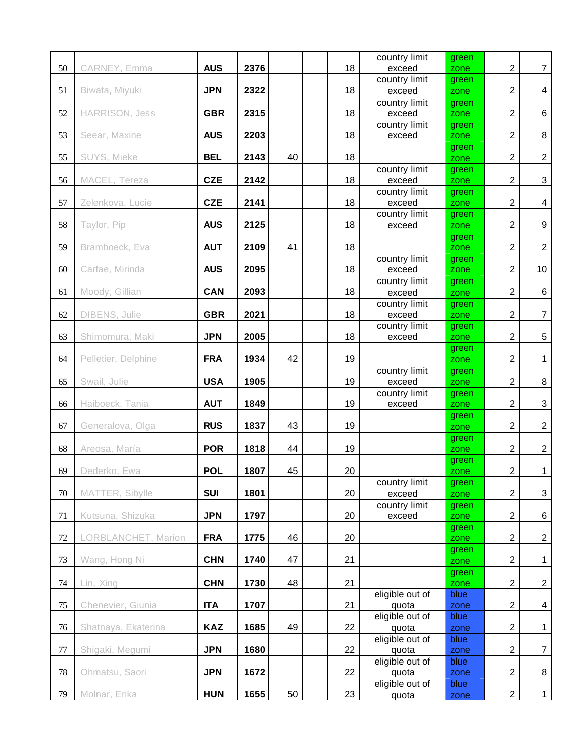|        |                     |            |      |    |    | country limit            | green         |                  |                           |
|--------|---------------------|------------|------|----|----|--------------------------|---------------|------------------|---------------------------|
| 50     | CARNEY, Emma        | <b>AUS</b> | 2376 |    | 18 | exceed                   | zone          | $\overline{2}$   | $\overline{7}$            |
|        |                     |            |      |    |    | country limit            | green         |                  |                           |
| 51     | Biwata, Miyuki      | <b>JPN</b> | 2322 |    | 18 | exceed                   | zone          | $\sqrt{2}$       | 4                         |
|        |                     |            |      |    |    | country limit            | green         |                  |                           |
| 52     | HARRISON, Jess      | <b>GBR</b> | 2315 |    | 18 | exceed                   | zone          | $\overline{2}$   | $\,6\,$                   |
| 53     | Seear, Maxine       | <b>AUS</b> | 2203 |    | 18 | country limit<br>exceed  | green<br>zone | $\boldsymbol{2}$ | $\,8\,$                   |
|        |                     |            |      |    |    |                          | green         |                  |                           |
| 55     | SUYS, Mieke         | <b>BEL</b> | 2143 | 40 | 18 |                          | zone          | $\overline{2}$   | $\overline{2}$            |
|        |                     |            |      |    |    | country limit            | green         |                  |                           |
| 56     | MACEL, Tereza       | <b>CZE</b> | 2142 |    | 18 | exceed                   | zone          | $\overline{2}$   | $\sqrt{3}$                |
|        |                     |            |      |    |    | country limit            | green         |                  |                           |
| 57     | Zelenkova, Lucie    | <b>CZE</b> | 2141 |    | 18 | exceed                   | zone          | $\boldsymbol{2}$ | $\overline{4}$            |
|        |                     |            |      |    |    | country limit            | green         |                  |                           |
| 58     | Taylor, Pip         | <b>AUS</b> | 2125 |    | 18 | exceed                   | zone          | $\overline{2}$   | 9                         |
| 59     | Bramboeck, Eva      | <b>AUT</b> | 2109 | 41 | 18 |                          | green         | $\overline{2}$   |                           |
|        |                     |            |      |    |    | country limit            | zone<br>green |                  | $\overline{2}$            |
| 60     | Carfae, Mirinda     | <b>AUS</b> | 2095 |    | 18 | exceed                   | zone          | $\overline{2}$   | 10                        |
|        |                     |            |      |    |    | country limit            | green         |                  |                           |
| 61     | Moody, Gillian      | <b>CAN</b> | 2093 |    | 18 | exceed                   | zone          | $\overline{2}$   | 6                         |
|        |                     |            |      |    |    | country limit            | green         |                  |                           |
| 62     | DIBENS, Julie       | <b>GBR</b> | 2021 |    | 18 | exceed                   | zone          | $\overline{2}$   | $\overline{7}$            |
|        |                     |            |      |    |    | country limit            | green         |                  |                           |
| 63     | Shimomura, Maki     | <b>JPN</b> | 2005 |    | 18 | exceed                   | zone          | $\overline{2}$   | $\sqrt{5}$                |
| 64     | Pelletier, Delphine | <b>FRA</b> | 1934 | 42 | 19 |                          | green         | $\overline{2}$   | $\mathbf{1}$              |
|        |                     |            |      |    |    | country limit            | zone          |                  |                           |
| 65     | Swail, Julie        | <b>USA</b> | 1905 |    | 19 | exceed                   | green<br>zone | $\overline{2}$   | $\,8\,$                   |
|        |                     |            |      |    |    | country limit            | green         |                  |                           |
| 66     | Haiboeck, Tania     | <b>AUT</b> | 1849 |    | 19 | exceed                   | zone          | $\overline{2}$   | $\ensuremath{\mathsf{3}}$ |
|        |                     |            |      |    |    |                          | green         |                  |                           |
| 67     | Generalova, Olga    | <b>RUS</b> | 1837 | 43 | 19 |                          | zone          | $\overline{2}$   | $\overline{2}$            |
|        |                     |            |      |    |    |                          | green         |                  |                           |
| 68     | Areosa, María       | <b>POR</b> | 1818 | 44 | 19 |                          | zone          | $\overline{2}$   | $\overline{2}$            |
| 69     | Dederko, Ewa        | <b>POL</b> | 1807 | 45 | 20 |                          | green         | $\boldsymbol{2}$ | $\mathbf{1}$              |
|        |                     |            |      |    |    | country limit            | zone<br>green |                  |                           |
| 70     | MATTER, Sibylle     | <b>SUI</b> | 1801 |    | 20 | exceed                   | zone          | $\boldsymbol{2}$ | 3                         |
|        |                     |            |      |    |    | country limit            | green         |                  |                           |
| 71     | Kutsuna, Shizuka    | <b>JPN</b> | 1797 |    | 20 | exceed                   | zone          | $\boldsymbol{2}$ | 6                         |
|        |                     |            |      |    |    |                          | green         |                  |                           |
| 72     | LORBLANCHET, Marion | <b>FRA</b> | 1775 | 46 | 20 |                          | zone          | $\boldsymbol{2}$ | $\overline{c}$            |
|        |                     |            |      |    |    |                          | green         |                  |                           |
| 73     | Wang, Hong Ni       | <b>CHN</b> | 1740 | 47 | 21 |                          | zone          | $\overline{2}$   | $\mathbf{1}$              |
| 74     | Lin, Xing           | <b>CHN</b> | 1730 | 48 | 21 |                          | green<br>zone | $\overline{c}$   | $\overline{c}$            |
|        |                     |            |      |    |    | eligible out of          | blue          |                  |                           |
| 75     | Chenevier, Giunia   | <b>ITA</b> | 1707 |    | 21 | quota                    | zone          | $\boldsymbol{2}$ | 4                         |
|        |                     |            |      |    |    | eligible out of          | blue          |                  |                           |
| 76     | Shatnaya, Ekaterina | <b>KAZ</b> | 1685 | 49 | 22 | quota                    | zone          | $\overline{2}$   | $\mathbf 1$               |
|        |                     |            |      |    |    | eligible out of          | blue          |                  |                           |
| $77\,$ | Shigaki, Megumi     | <b>JPN</b> | 1680 |    | 22 | quota                    | zone          | $\overline{2}$   | $\overline{7}$            |
|        |                     |            |      |    |    | eligible out of          | blue          |                  |                           |
| $78\,$ | Ohmatsu, Saori      | <b>JPN</b> | 1672 |    | 22 | quota<br>eligible out of | zone<br>blue  | $\boldsymbol{2}$ | $\bf 8$                   |
| 79     | Molnar, Erika       | <b>HUN</b> | 1655 | 50 | 23 | quota                    | zone          | $\boldsymbol{2}$ | $\mathbf{1}$              |
|        |                     |            |      |    |    |                          |               |                  |                           |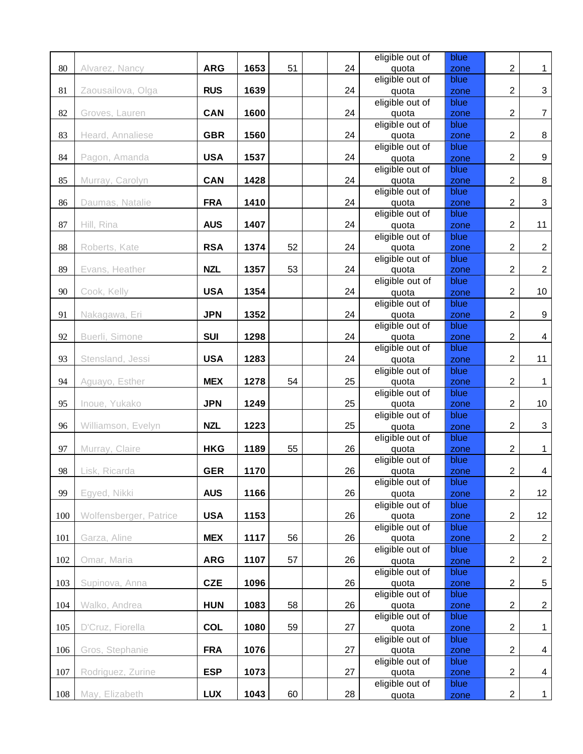|     |                        |            |      |    |    | eligible out of | blue |                  |                  |
|-----|------------------------|------------|------|----|----|-----------------|------|------------------|------------------|
| 80  | Alvarez, Nancy         | <b>ARG</b> | 1653 | 51 | 24 | quota           | zone | $\boldsymbol{2}$ | $\mathbf{1}$     |
|     |                        |            |      |    |    | eligible out of | blue |                  |                  |
| 81  | Zaousailova, Olga      | <b>RUS</b> | 1639 |    | 24 | quota           | zone | $\overline{2}$   | $\mathbf{3}$     |
|     |                        |            |      |    |    | eligible out of | blue |                  |                  |
| 82  | Groves, Lauren         | CAN        | 1600 |    | 24 | quota           | zone | $\overline{2}$   | $\boldsymbol{7}$ |
|     |                        |            |      |    |    | eligible out of | blue |                  |                  |
| 83  | Heard, Annaliese       | <b>GBR</b> | 1560 |    | 24 | quota           | zone | $\overline{2}$   | 8                |
|     |                        |            |      |    |    | eligible out of | blue |                  |                  |
| 84  | Pagon, Amanda          | <b>USA</b> | 1537 |    | 24 | quota           | zone | $\overline{2}$   | 9                |
|     |                        |            |      |    |    | eligible out of | blue |                  |                  |
| 85  | Murray, Carolyn        | CAN        | 1428 |    | 24 | quota           | zone | $\overline{2}$   | 8                |
|     |                        |            |      |    |    | eligible out of | blue |                  |                  |
| 86  | Daumas, Natalie        | <b>FRA</b> | 1410 |    | 24 | quota           | zone | $\overline{2}$   | $\mathbf{3}$     |
|     |                        |            |      |    |    | eligible out of | blue |                  |                  |
| 87  | Hill, Rina             | <b>AUS</b> | 1407 |    | 24 | quota           | zone | $\overline{2}$   | 11               |
|     |                        |            |      |    |    | eligible out of | blue |                  |                  |
| 88  | Roberts, Kate          | <b>RSA</b> | 1374 | 52 | 24 | quota           | zone | $\overline{2}$   | $\overline{2}$   |
|     |                        |            |      |    |    | eligible out of | blue |                  |                  |
| 89  | Evans, Heather         | <b>NZL</b> | 1357 | 53 | 24 | quota           | zone | $\boldsymbol{2}$ | $\overline{2}$   |
|     |                        |            |      |    |    | eligible out of | blue |                  |                  |
| 90  | Cook, Kelly            | <b>USA</b> | 1354 |    | 24 | quota           | zone | $\overline{2}$   | 10               |
|     |                        |            |      |    |    | eligible out of | blue |                  |                  |
| 91  | Nakagawa, Eri          | <b>JPN</b> | 1352 |    | 24 | quota           | zone | $\overline{2}$   | $\boldsymbol{9}$ |
|     |                        |            |      |    |    | eligible out of | blue |                  |                  |
| 92  | Buerli, Simone         | <b>SUI</b> | 1298 |    | 24 | quota           | zone | $\sqrt{2}$       | 4                |
|     |                        |            |      |    |    | eligible out of | blue |                  |                  |
| 93  | Stensland, Jessi       | <b>USA</b> | 1283 |    | 24 | quota           | zone | $\overline{2}$   | 11               |
|     |                        |            |      |    |    | eligible out of | blue |                  |                  |
| 94  | Aguayo, Esther         | <b>MEX</b> | 1278 | 54 | 25 | quota           | zone | $\boldsymbol{2}$ | $\mathbf{1}$     |
|     |                        |            |      |    |    | eligible out of | blue |                  |                  |
| 95  | Inoue, Yukako          | <b>JPN</b> | 1249 |    | 25 | quota           | zone | $\overline{2}$   | 10               |
|     |                        |            |      |    |    | eligible out of | blue |                  |                  |
| 96  | Williamson, Evelyn     | <b>NZL</b> | 1223 |    | 25 | quota           | zone | $\overline{2}$   | $\mathbf{3}$     |
|     |                        |            |      |    |    | eligible out of | blue |                  |                  |
| 97  | Murray, Claire         | <b>HKG</b> | 1189 | 55 | 26 | quota           | zone | $\overline{2}$   | $\mathbf{1}$     |
|     |                        |            |      |    |    | eligible out of | blue |                  |                  |
| 98  | Lisk, Ricarda          | <b>GER</b> | 1170 |    | 26 | quota           | zone | $\boldsymbol{2}$ | $\overline{4}$   |
|     |                        |            |      |    |    | eligible out of | blue |                  |                  |
| 99  | Egyed, Nikki           | <b>AUS</b> | 1166 |    | 26 | quota           | zone | $\overline{2}$   | 12               |
|     |                        |            |      |    |    | eligible out of | blue |                  |                  |
| 100 | Wolfensberger, Patrice | <b>USA</b> | 1153 |    | 26 | quota           | zone | $\overline{2}$   | 12               |
|     |                        |            |      |    |    | eligible out of | blue |                  |                  |
| 101 | Garza, Aline           | <b>MEX</b> | 1117 | 56 | 26 | quota           | zone | $\boldsymbol{2}$ | $\overline{c}$   |
|     |                        |            |      |    |    | eligible out of | blue |                  |                  |
| 102 | Omar, Maria            | <b>ARG</b> | 1107 | 57 | 26 | quota           | zone | $\overline{2}$   | $\overline{2}$   |
|     |                        |            |      |    |    | eligible out of | blue |                  |                  |
| 103 | Supinova, Anna         | <b>CZE</b> | 1096 |    | 26 | quota           | zone | $\overline{c}$   | 5                |
|     |                        |            |      |    |    | eligible out of | blue |                  |                  |
| 104 | Walko, Andrea          | <b>HUN</b> | 1083 | 58 | 26 | quota           | zone | $\mathbf 2$      | $\sqrt{2}$       |
|     |                        |            |      |    |    | eligible out of | blue |                  |                  |
| 105 | D'Cruz, Fiorella       | <b>COL</b> | 1080 | 59 | 27 | quota           | zone | $\overline{c}$   | $\mathbf 1$      |
|     |                        |            |      |    |    | eligible out of | blue |                  |                  |
| 106 | Gros, Stephanie        | <b>FRA</b> | 1076 |    | 27 | quota           | zone | $\boldsymbol{2}$ | 4                |
|     |                        |            |      |    |    | eligible out of | blue |                  |                  |
| 107 | Rodriguez, Zurine      | <b>ESP</b> | 1073 |    | 27 | quota           | zone | $\boldsymbol{2}$ | 4                |
|     |                        |            |      |    |    | eligible out of | blue |                  |                  |
| 108 | May, Elizabeth         | <b>LUX</b> | 1043 | 60 | 28 | quota           | zone | $\boldsymbol{2}$ | 1                |